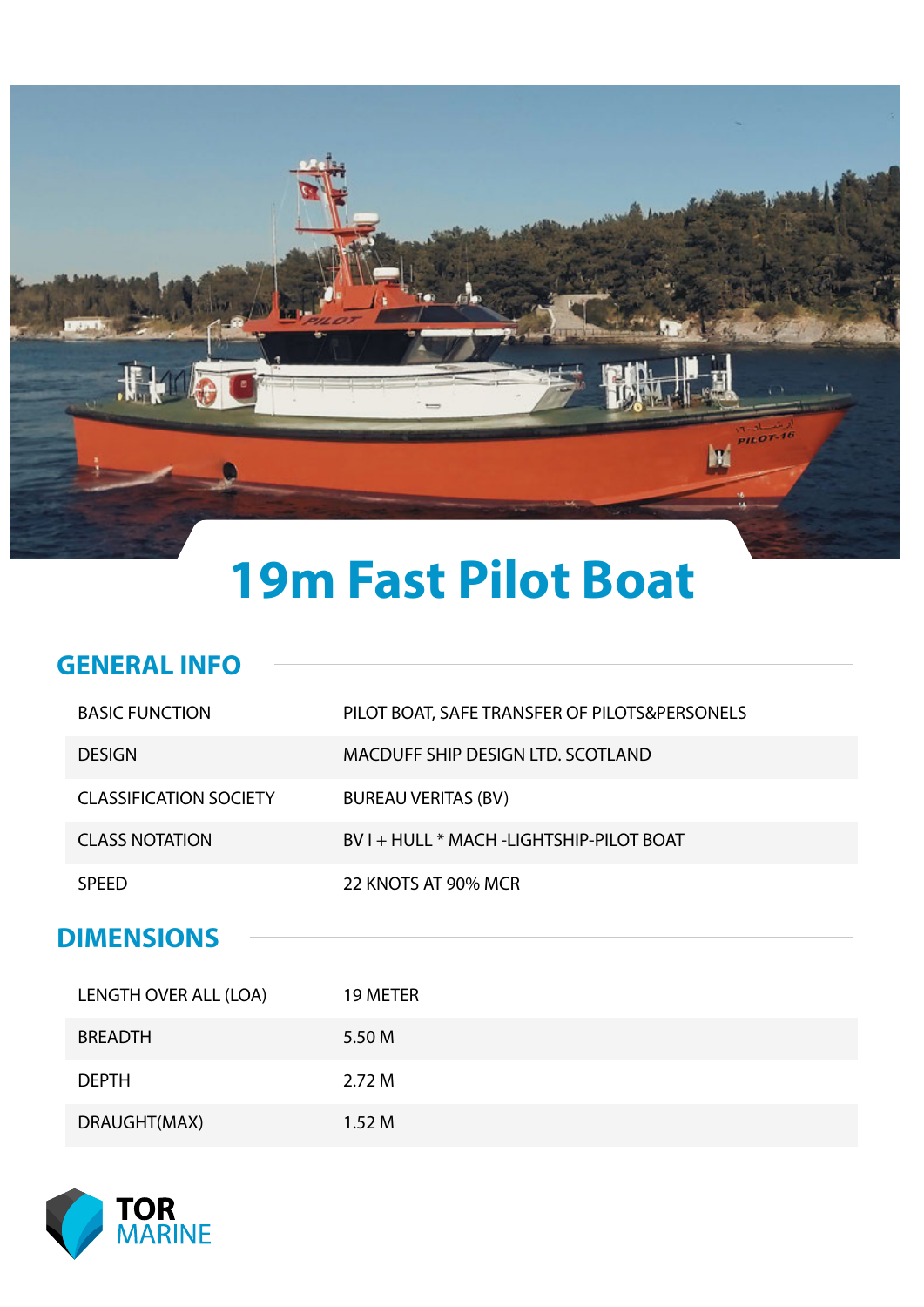

# **19m Fast Pilot Boat**

#### **GENERAL INFO**

|  | <b>BASIC FUNCTION</b>         | PILOT BOAT, SAFE TRANSFER OF PILOTS&PERSONELS |
|--|-------------------------------|-----------------------------------------------|
|  | <b>DESIGN</b>                 | MACDUFF SHIP DESIGN LTD. SCOTLAND             |
|  | <b>CLASSIFICATION SOCIETY</b> | <b>BUREAU VERITAS (BV)</b>                    |
|  | <b>CLASS NOTATION</b>         | BV I + HULL * MACH -LIGHTSHIP-PILOT BOAT      |
|  | <b>SPEED</b>                  | 22 KNOTS AT 90% MCR                           |
|  |                               |                                               |
|  | <b>DIMENSIONS</b>             |                                               |
|  |                               |                                               |
|  | LENGTH OVER ALL (LOA)         | 19 METER                                      |
|  | <b>BREADTH</b>                | 5.50 M                                        |
|  | <b>DEPTH</b>                  | 2.72M                                         |



DRAUGHT(MAX) 1.52 M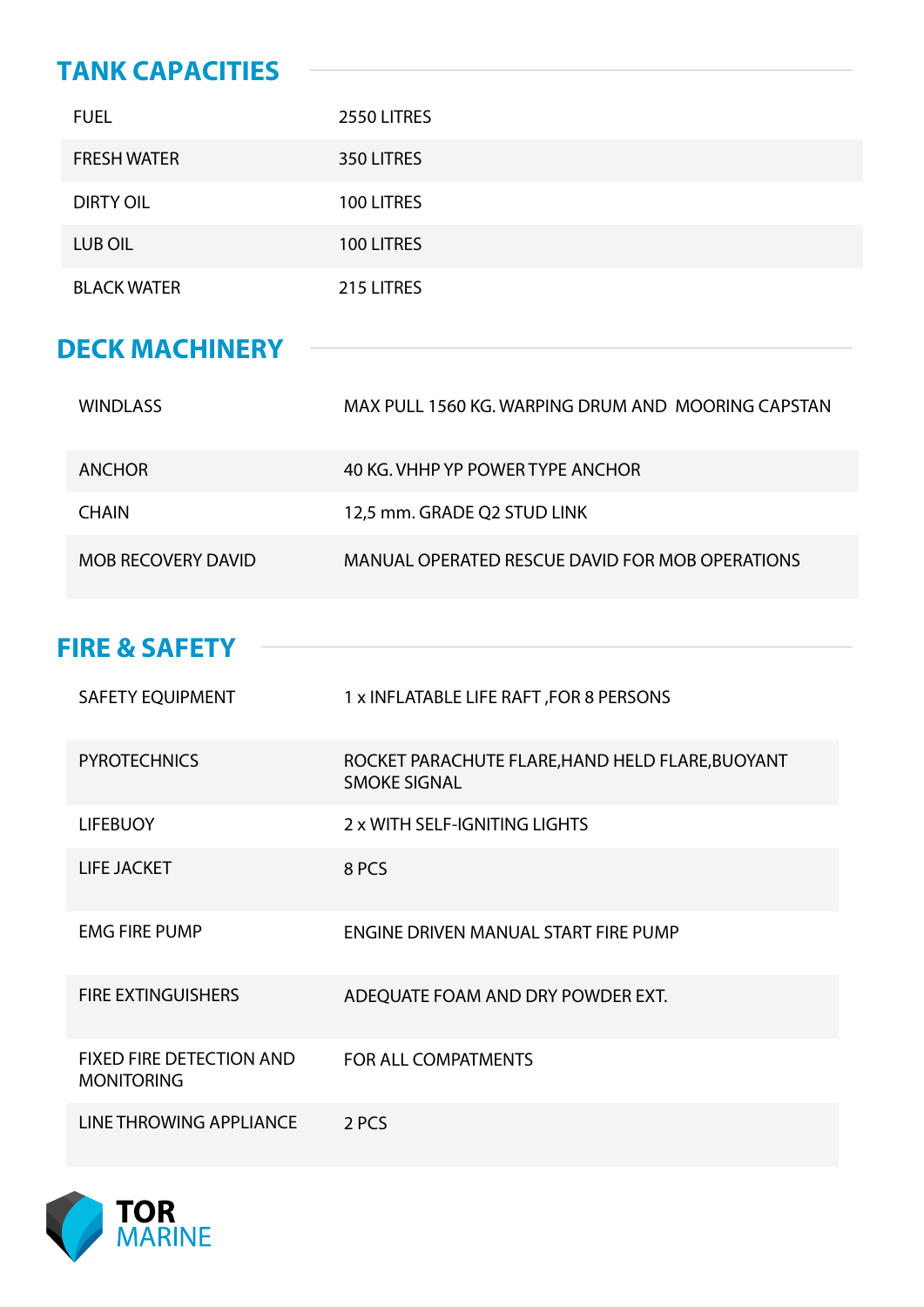### **TANK CAPACITIES**

| <b>FUEL</b>        | 2550 LITRES |
|--------------------|-------------|
| <b>FRESH WATER</b> | 350 LITRES  |
| <b>DIRTY OIL</b>   | 100 LITRES  |
| LUB OIL            | 100 LITRES  |
| <b>BLACK WATER</b> | 215 LITRES  |

#### **DECK MACHINERY**

| <b>WINDLASS</b>           | MAX PULL 1560 KG. WARPING DRUM AND MOORING CAPSTAN |
|---------------------------|----------------------------------------------------|
| <b>ANCHOR</b>             | 40 KG, VHHP YP POWER TYPE ANCHOR                   |
| <b>CHAIN</b>              | 12,5 mm. GRADE Q2 STUD LINK                        |
| <b>MOB RECOVERY DAVID</b> | MANUAL OPERATED RESCUE DAVID FOR MOB OPERATIONS    |

#### **FIRE & SAFETY**

| <b>SAFETY EQUIPMENT</b>                              | 1 x INFLATABLE LIFE RAFT, FOR 8 PERSONS                                 |
|------------------------------------------------------|-------------------------------------------------------------------------|
| <b>PYROTECHNICS</b>                                  | ROCKET PARACHUTE FLARE, HAND HELD FLARE, BUOYANT<br><b>SMOKE SIGNAL</b> |
| <b>LIFEBUOY</b>                                      | 2 x WITH SELF-IGNITING LIGHTS                                           |
| <b>LIFE JACKET</b>                                   | 8 PCS                                                                   |
| <b>EMG FIRE PUMP</b>                                 | ENGINE DRIVEN MANUAL START FIRE PUMP                                    |
| <b>FIRE EXTINGUISHERS</b>                            | ADEQUATE FOAM AND DRY POWDER EXT.                                       |
| <b>FIXED FIRE DETECTION AND</b><br><b>MONITORING</b> | <b>FOR ALL COMPATMENTS</b>                                              |
| <b>LINE THROWING APPLIANCE</b>                       | 2 PCS                                                                   |

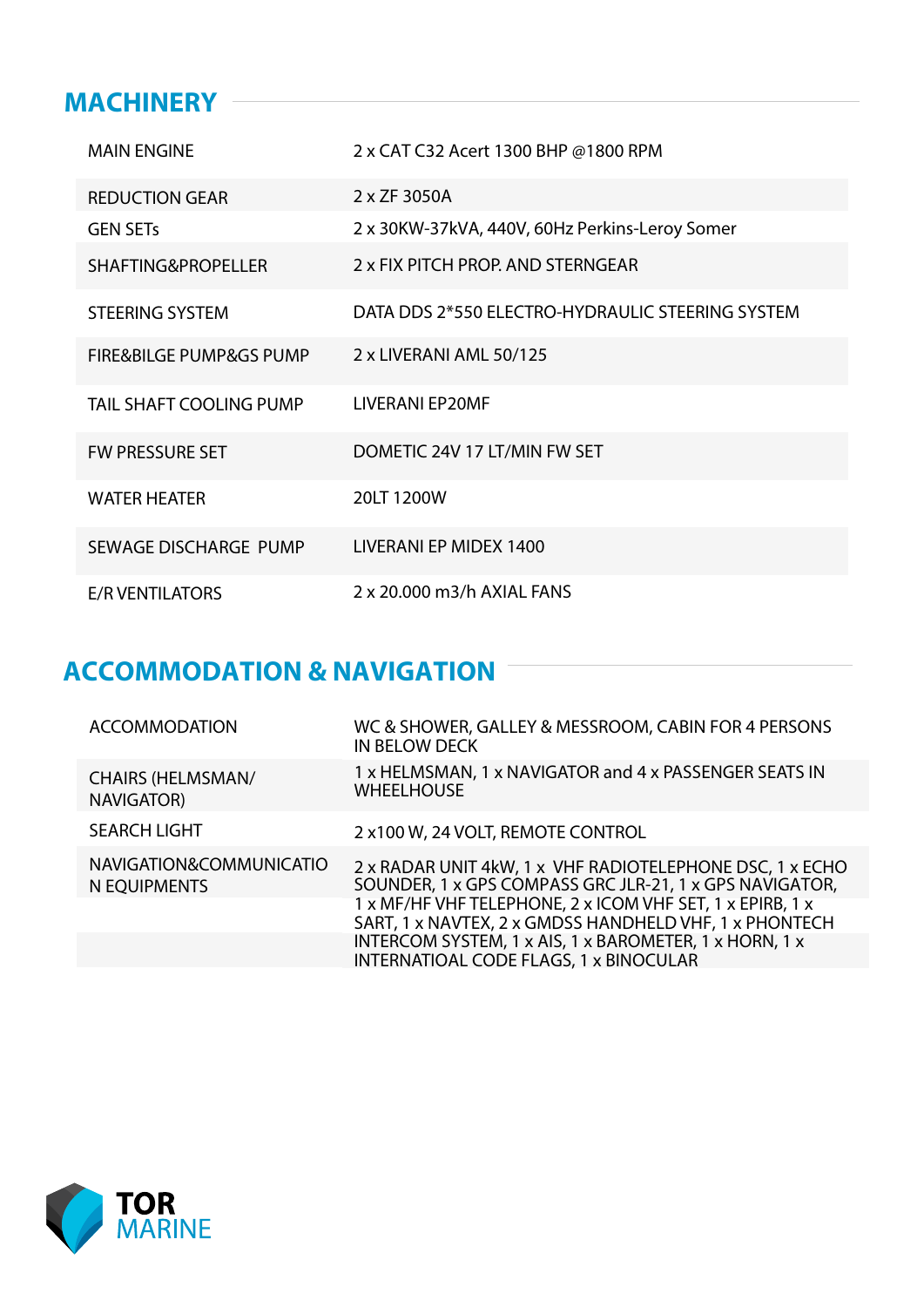#### **MACHINERY**

| <b>MAIN ENGINE</b>                     | 2 x CAT C32 Acert 1300 BHP @1800 RPM             |
|----------------------------------------|--------------------------------------------------|
| <b>REDUCTION GEAR</b>                  | 2 x ZF 3050A                                     |
| <b>GEN SETS</b>                        | 2 x 30KW-37kVA, 440V, 60Hz Perkins-Leroy Somer   |
| <b>SHAFTING&amp;PROPELLER</b>          | 2 x FIX PITCH PROP. AND STERNGEAR                |
| <b>STEERING SYSTEM</b>                 | DATA DDS 2*550 ELECTRO-HYDRAULIC STEERING SYSTEM |
| <b>FIRE&amp;BILGE PUMP&amp;GS PUMP</b> | 2 x LIVERANI AML 50/125                          |
| <b>TAIL SHAFT COOLING PUMP</b>         | <b>LIVERANI EP20MF</b>                           |
| <b>FW PRESSURE SET</b>                 | DOMETIC 24V 17 LT/MIN FW SET                     |
| <b>WATER HEATER</b>                    | 20LT 1200W                                       |
| SEWAGE DISCHARGE PUMP                  | LIVERANI EP MIDEX 1400                           |
| <b>E/R VENTILATORS</b>                 | 2 x 20,000 m3/h AXIAL FANS                       |

## **ACCOMMODATION & NAVIGATION**

| <b>ACCOMMODATION</b>                    | WC & SHOWER, GALLEY & MESSROOM, CABIN FOR 4 PERSONS<br><b>IN BELOW DECK</b>                                         |
|-----------------------------------------|---------------------------------------------------------------------------------------------------------------------|
| <b>CHAIRS (HELMSMAN/</b><br>NAVIGATOR)  | 1 x HELMSMAN, 1 x NAVIGATOR and 4 x PASSENGER SEATS IN<br><b>WHEELHOUSE</b>                                         |
| <b>SEARCH LIGHT</b>                     | 2 x100 W, 24 VOLT, REMOTE CONTROL                                                                                   |
| NAVIGATION&COMMUNICATIO<br>N EQUIPMENTS | 2 x RADAR UNIT 4kW, 1 x VHF RADIOTELEPHONE DSC, 1 x ECHO<br>SOUNDER, 1 x GPS COMPASS GRC JLR-21, 1 x GPS NAVIGATOR, |
|                                         | 1 x MF/HF VHF TELEPHONE, 2 x ICOM VHF SET, 1 x EPIRB, 1 x<br>SART, 1 x NAVTEX, 2 x GMDSS HANDHELD VHF, 1 x PHONTECH |
|                                         | INTERCOM SYSTEM, 1 x AIS, 1 x BAROMETER, 1 x HORN, 1 x<br>INTERNATIOAL CODE FLAGS, 1 x BINOCULAR                    |